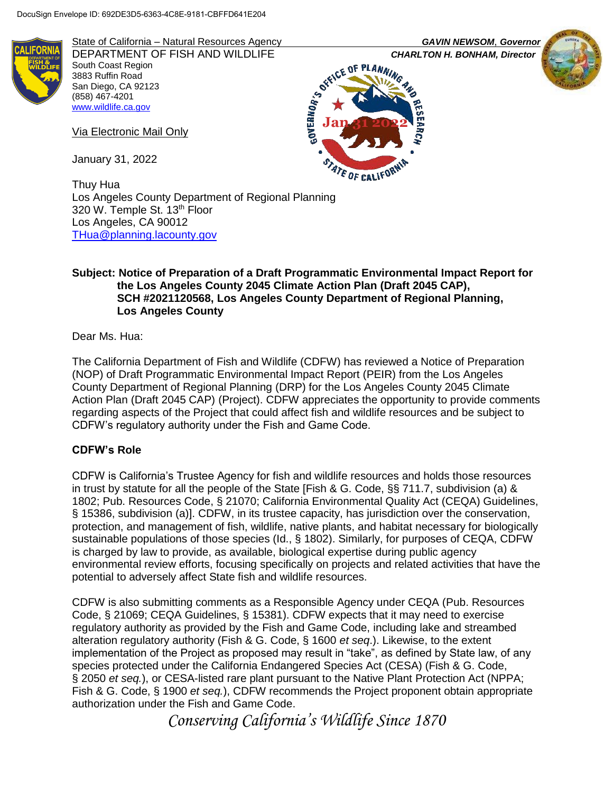

State of California – Natural Resources Agency *GAVIN NEWSOM*, *Governor* DEPARTMENT OF FISH AND WILDLIFE **CHARLTON H. BONHAM, Director**<br>South Coast Region<br>Case of *CHARM* South Coast Region 3883 Ruffin Road San Diego, CA 92123 (858) 467-4201 [www.wildlife.ca.gov](http://www.wildlife.ca.gov/)

Via Electronic Mail Only

January 31, 2022

Thuy Hua Los Angeles County Department of Regional Planning 320 W. Temple St. 13<sup>th</sup> Floor Los Angeles, CA 90012 [THua@planning.lacounty.gov](mailto:THua@planning.lacounty.gov)

#### **Subject: Notice of Preparation of a Draft Programmatic Environmental Impact Report for the Los Angeles County 2045 Climate Action Plan (Draft 2045 CAP), SCH #2021120568, Los Angeles County Department of Regional Planning, Los Angeles County**

Dear Ms. Hua:

The California Department of Fish and Wildlife (CDFW) has reviewed a Notice of Preparation (NOP) of Draft Programmatic Environmental Impact Report (PEIR) from the Los Angeles County Department of Regional Planning (DRP) for the Los Angeles County 2045 Climate Action Plan (Draft 2045 CAP) (Project). CDFW appreciates the opportunity to provide comments regarding aspects of the Project that could affect fish and wildlife resources and be subject to CDFW's regulatory authority under the Fish and Game Code.

#### **CDFW's Role**

CDFW is California's Trustee Agency for fish and wildlife resources and holds those resources in trust by statute for all the people of the State [Fish & G. Code, §§ 711.7, subdivision (a) & 1802; Pub. Resources Code, § 21070; California Environmental Quality Act (CEQA) Guidelines, § 15386, subdivision (a)]. CDFW, in its trustee capacity, has jurisdiction over the conservation, protection, and management of fish, wildlife, native plants, and habitat necessary for biologically sustainable populations of those species (Id., § 1802). Similarly, for purposes of CEQA, CDFW is charged by law to provide, as available, biological expertise during public agency environmental review efforts, focusing specifically on projects and related activities that have the potential to adversely affect State fish and wildlife resources.

CDFW is also submitting comments as a Responsible Agency under CEQA (Pub. Resources Code, § 21069; CEQA Guidelines, § 15381). CDFW expects that it may need to exercise regulatory authority as provided by the Fish and Game Code, including lake and streambed alteration regulatory authority (Fish & G. Code, § 1600 *et seq*.). Likewise, to the extent implementation of the Project as proposed may result in "take", as defined by State law, of any species protected under the California Endangered Species Act (CESA) (Fish & G. Code, § 2050 *et seq.*), or CESA-listed rare plant pursuant to the Native Plant Protection Act (NPPA; Fish & G. Code, § 1900 *et seq.*), CDFW recommends the Project proponent obtain appropriate authorization under the Fish and Game Code.

*Conserving California's Wildlife Since 1870*





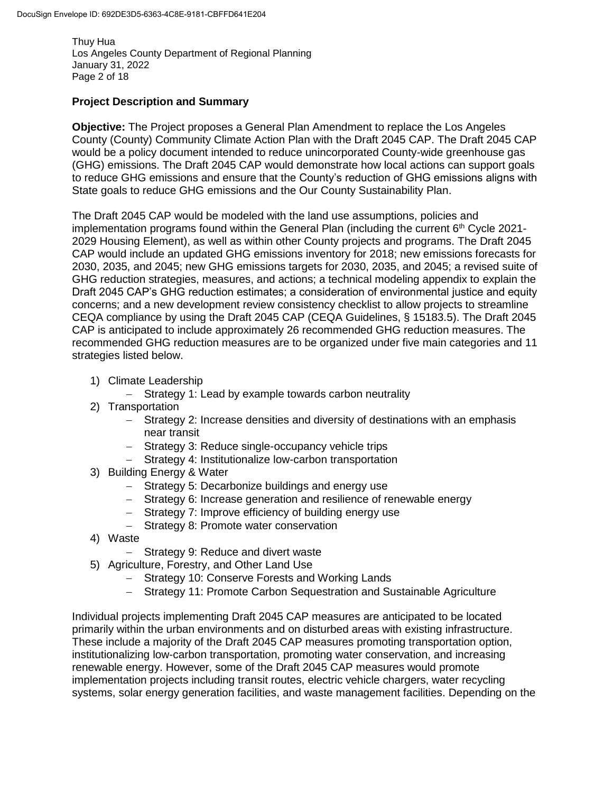Thuy Hua Los Angeles County Department of Regional Planning January 31, 2022 Page 2 of 18

# **Project Description and Summary**

**Objective:** The Project proposes a General Plan Amendment to replace the Los Angeles County (County) Community Climate Action Plan with the Draft 2045 CAP. The Draft 2045 CAP would be a policy document intended to reduce unincorporated County-wide greenhouse gas (GHG) emissions. The Draft 2045 CAP would demonstrate how local actions can support goals to reduce GHG emissions and ensure that the County's reduction of GHG emissions aligns with State goals to reduce GHG emissions and the Our County Sustainability Plan.

The Draft 2045 CAP would be modeled with the land use assumptions, policies and implementation programs found within the General Plan (including the current  $6<sup>th</sup>$  Cycle 2021-2029 Housing Element), as well as within other County projects and programs. The Draft 2045 CAP would include an updated GHG emissions inventory for 2018; new emissions forecasts for 2030, 2035, and 2045; new GHG emissions targets for 2030, 2035, and 2045; a revised suite of GHG reduction strategies, measures, and actions; a technical modeling appendix to explain the Draft 2045 CAP's GHG reduction estimates; a consideration of environmental justice and equity concerns; and a new development review consistency checklist to allow projects to streamline CEQA compliance by using the Draft 2045 CAP (CEQA Guidelines, § 15183.5). The Draft 2045 CAP is anticipated to include approximately 26 recommended GHG reduction measures. The recommended GHG reduction measures are to be organized under five main categories and 11 strategies listed below.

1) Climate Leadership

- Strategy 1: Lead by example towards carbon neutrality

- 2) Transportation
	- Strategy 2: Increase densities and diversity of destinations with an emphasis near transit
	- Strategy 3: Reduce single-occupancy vehicle trips
	- Strategy 4: Institutionalize low-carbon transportation
- 3) Building Energy & Water
	- Strategy 5: Decarbonize buildings and energy use
	- Strategy 6: Increase generation and resilience of renewable energy
	- Strategy 7: Improve efficiency of building energy use
	- Strategy 8: Promote water conservation
- 4) Waste
	- Strategy 9: Reduce and divert waste
- 5) Agriculture, Forestry, and Other Land Use
	- Strategy 10: Conserve Forests and Working Lands
	- Strategy 11: Promote Carbon Sequestration and Sustainable Agriculture

Individual projects implementing Draft 2045 CAP measures are anticipated to be located primarily within the urban environments and on disturbed areas with existing infrastructure. These include a majority of the Draft 2045 CAP measures promoting transportation option, institutionalizing low-carbon transportation, promoting water conservation, and increasing renewable energy. However, some of the Draft 2045 CAP measures would promote implementation projects including transit routes, electric vehicle chargers, water recycling systems, solar energy generation facilities, and waste management facilities. Depending on the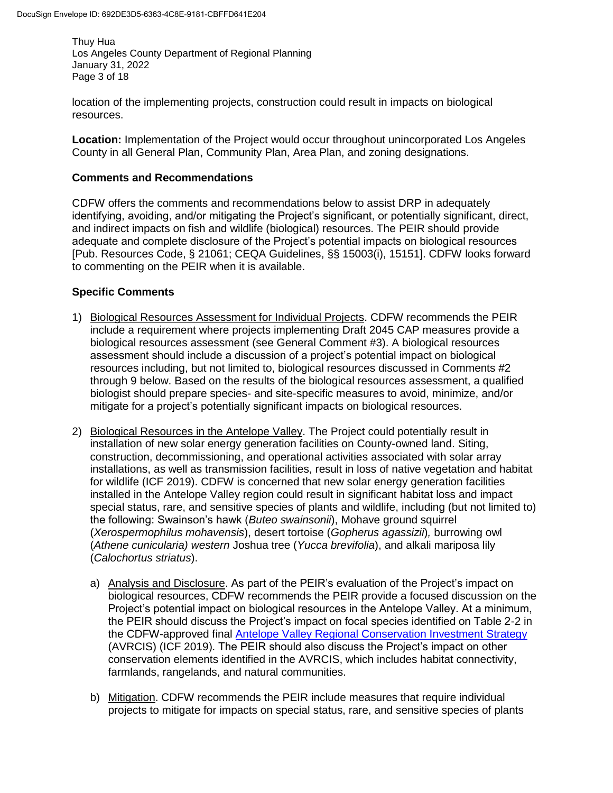Thuy Hua Los Angeles County Department of Regional Planning January 31, 2022 Page 3 of 18

location of the implementing projects, construction could result in impacts on biological resources.

**Location:** Implementation of the Project would occur throughout unincorporated Los Angeles County in all General Plan, Community Plan, Area Plan, and zoning designations.

#### **Comments and Recommendations**

CDFW offers the comments and recommendations below to assist DRP in adequately identifying, avoiding, and/or mitigating the Project's significant, or potentially significant, direct, and indirect impacts on fish and wildlife (biological) resources. The PEIR should provide adequate and complete disclosure of the Project's potential impacts on biological resources [Pub. Resources Code, § 21061; CEQA Guidelines, §§ 15003(i), 15151]. CDFW looks forward to commenting on the PEIR when it is available.

## **Specific Comments**

- 1) Biological Resources Assessment for Individual Projects. CDFW recommends the PEIR include a requirement where projects implementing Draft 2045 CAP measures provide a biological resources assessment (see General Comment #3). A biological resources assessment should include a discussion of a project's potential impact on biological resources including, but not limited to, biological resources discussed in Comments #2 through 9 below. Based on the results of the biological resources assessment, a qualified biologist should prepare species- and site-specific measures to avoid, minimize, and/or mitigate for a project's potentially significant impacts on biological resources.
- 2) Biological Resources in the Antelope Valley. The Project could potentially result in installation of new solar energy generation facilities on County-owned land. Siting, construction, decommissioning, and operational activities associated with solar array installations, as well as transmission facilities, result in loss of native vegetation and habitat for wildlife (ICF 2019). CDFW is concerned that new solar energy generation facilities installed in the Antelope Valley region could result in significant habitat loss and impact special status, rare, and sensitive species of plants and wildlife, including (but not limited to) the following: Swainson's hawk (*Buteo swainsonii*), Mohave ground squirrel (*Xerospermophilus mohavensis*), desert tortoise (*Gopherus agassizii*)*,* burrowing owl (*Athene cunicularia) western* Joshua tree (*Yucca brevifolia*), and alkali mariposa lily (*Calochortus striatus*).
	- a) Analysis and Disclosure. As part of the PEIR's evaluation of the Project's impact on biological resources, CDFW recommends the PEIR provide a focused discussion on the Project's potential impact on biological resources in the Antelope Valley. At a minimum, the PEIR should discuss the Project's impact on focal species identified on Table 2-2 in the CDFW-approved final [Antelope Valley Regional Conservation Investment Strategy](https://wildlife.ca.gov/Conservation/Planning/Regional-Conservation/Documents) (AVRCIS) (ICF 2019). The PEIR should also discuss the Project's impact on other conservation elements identified in the AVRCIS, which includes habitat connectivity, farmlands, rangelands, and natural communities.
	- b) Mitigation. CDFW recommends the PEIR include measures that require individual projects to mitigate for impacts on special status, rare, and sensitive species of plants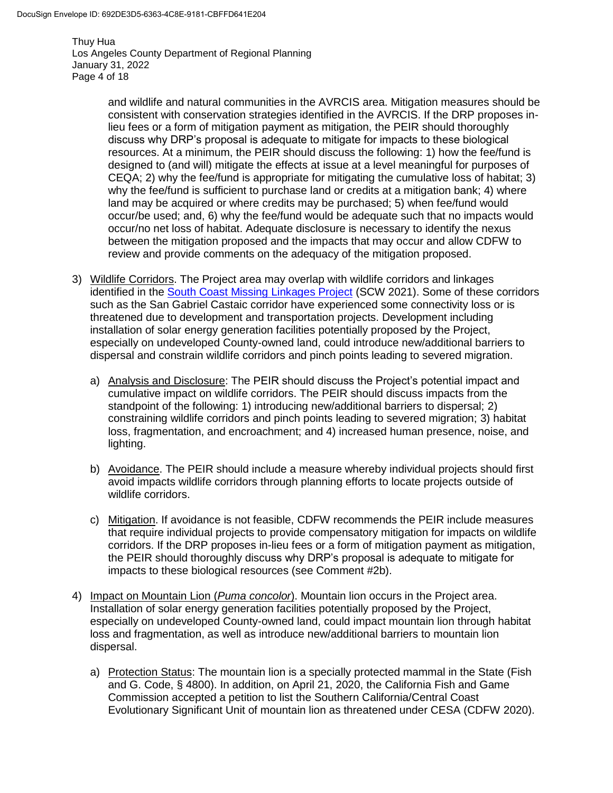Thuy Hua Los Angeles County Department of Regional Planning January 31, 2022 Page 4 of 18

> and wildlife and natural communities in the AVRCIS area. Mitigation measures should be consistent with conservation strategies identified in the AVRCIS. If the DRP proposes inlieu fees or a form of mitigation payment as mitigation, the PEIR should thoroughly discuss why DRP's proposal is adequate to mitigate for impacts to these biological resources. At a minimum, the PEIR should discuss the following: 1) how the fee/fund is designed to (and will) mitigate the effects at issue at a level meaningful for purposes of CEQA; 2) why the fee/fund is appropriate for mitigating the cumulative loss of habitat; 3) why the fee/fund is sufficient to purchase land or credits at a mitigation bank; 4) where land may be acquired or where credits may be purchased; 5) when fee/fund would occur/be used; and, 6) why the fee/fund would be adequate such that no impacts would occur/no net loss of habitat. Adequate disclosure is necessary to identify the nexus between the mitigation proposed and the impacts that may occur and allow CDFW to review and provide comments on the adequacy of the mitigation proposed.

- 3) Wildlife Corridors. The Project area may overlap with wildlife corridors and linkages identified in the **South Coast Missing Linkages Project** (SCW 2021). Some of these corridors such as the San Gabriel Castaic corridor have experienced some connectivity loss or is threatened due to development and transportation projects. Development including installation of solar energy generation facilities potentially proposed by the Project, especially on undeveloped County-owned land, could introduce new/additional barriers to dispersal and constrain wildlife corridors and pinch points leading to severed migration.
	- a) Analysis and Disclosure: The PEIR should discuss the Project's potential impact and cumulative impact on wildlife corridors. The PEIR should discuss impacts from the standpoint of the following: 1) introducing new/additional barriers to dispersal; 2) constraining wildlife corridors and pinch points leading to severed migration; 3) habitat loss, fragmentation, and encroachment; and 4) increased human presence, noise, and lighting.
	- b) Avoidance. The PEIR should include a measure whereby individual projects should first avoid impacts wildlife corridors through planning efforts to locate projects outside of wildlife corridors.
	- c) Mitigation. If avoidance is not feasible, CDFW recommends the PEIR include measures that require individual projects to provide compensatory mitigation for impacts on wildlife corridors. If the DRP proposes in-lieu fees or a form of mitigation payment as mitigation, the PEIR should thoroughly discuss why DRP's proposal is adequate to mitigate for impacts to these biological resources (see Comment #2b).
- 4) Impact on Mountain Lion (*Puma concolor*). Mountain lion occurs in the Project area. Installation of solar energy generation facilities potentially proposed by the Project, especially on undeveloped County-owned land, could impact mountain lion through habitat loss and fragmentation, as well as introduce new/additional barriers to mountain lion dispersal.
	- a) Protection Status: The mountain lion is a specially protected mammal in the State (Fish and G. Code, § 4800). In addition, on April 21, 2020, the California Fish and Game Commission accepted a petition to list the Southern California/Central Coast Evolutionary Significant Unit of mountain lion as threatened under CESA (CDFW 2020).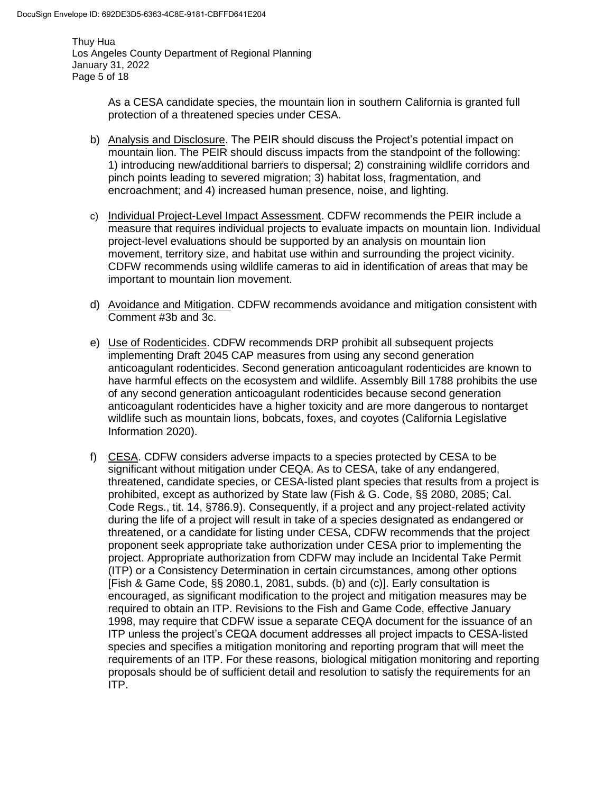Thuy Hua Los Angeles County Department of Regional Planning January 31, 2022 Page 5 of 18

> As a CESA candidate species, the mountain lion in southern California is granted full protection of a threatened species under CESA.

- b) Analysis and Disclosure. The PEIR should discuss the Project's potential impact on mountain lion. The PEIR should discuss impacts from the standpoint of the following: 1) introducing new/additional barriers to dispersal; 2) constraining wildlife corridors and pinch points leading to severed migration; 3) habitat loss, fragmentation, and encroachment; and 4) increased human presence, noise, and lighting.
- c) Individual Project-Level Impact Assessment. CDFW recommends the PEIR include a measure that requires individual projects to evaluate impacts on mountain lion. Individual project-level evaluations should be supported by an analysis on mountain lion movement, territory size, and habitat use within and surrounding the project vicinity. CDFW recommends using wildlife cameras to aid in identification of areas that may be important to mountain lion movement.
- d) Avoidance and Mitigation. CDFW recommends avoidance and mitigation consistent with Comment #3b and 3c.
- e) Use of Rodenticides. CDFW recommends DRP prohibit all subsequent projects implementing Draft 2045 CAP measures from using any second generation anticoagulant rodenticides. Second generation anticoagulant rodenticides are known to have harmful effects on the ecosystem and wildlife. [Assembly Bill 1788](https://leginfo.legislature.ca.gov/faces/billTextClient.xhtml?bill_id=201920200AB1788) prohibits the use of any second generation anticoagulant rodenticides because second generation anticoagulant rodenticides have a higher toxicity and are more dangerous to nontarget wildlife such as mountain lions, bobcats, foxes, and coyotes (California Legislative Information 2020).
- f) CESA. CDFW considers adverse impacts to a species protected by CESA to be significant without mitigation under CEQA. As to CESA, take of any endangered, threatened, candidate species, or CESA-listed plant species that results from a project is prohibited, except as authorized by State law (Fish & G. Code, §§ 2080, 2085; Cal. Code Regs., tit. 14, §786.9). Consequently, if a project and any project-related activity during the life of a project will result in take of a species designated as endangered or threatened, or a candidate for listing under CESA, CDFW recommends that the project proponent seek appropriate take authorization under CESA prior to implementing the project. Appropriate authorization from CDFW may include an Incidental Take Permit (ITP) or a Consistency Determination in certain circumstances, among other options [Fish & Game Code, §§ 2080.1, 2081, subds. (b) and (c)]. Early consultation is encouraged, as significant modification to the project and mitigation measures may be required to obtain an ITP. Revisions to the Fish and Game Code, effective January 1998, may require that CDFW issue a separate CEQA document for the issuance of an ITP unless the project's CEQA document addresses all project impacts to CESA-listed species and specifies a mitigation monitoring and reporting program that will meet the requirements of an ITP. For these reasons, biological mitigation monitoring and reporting proposals should be of sufficient detail and resolution to satisfy the requirements for an ITP.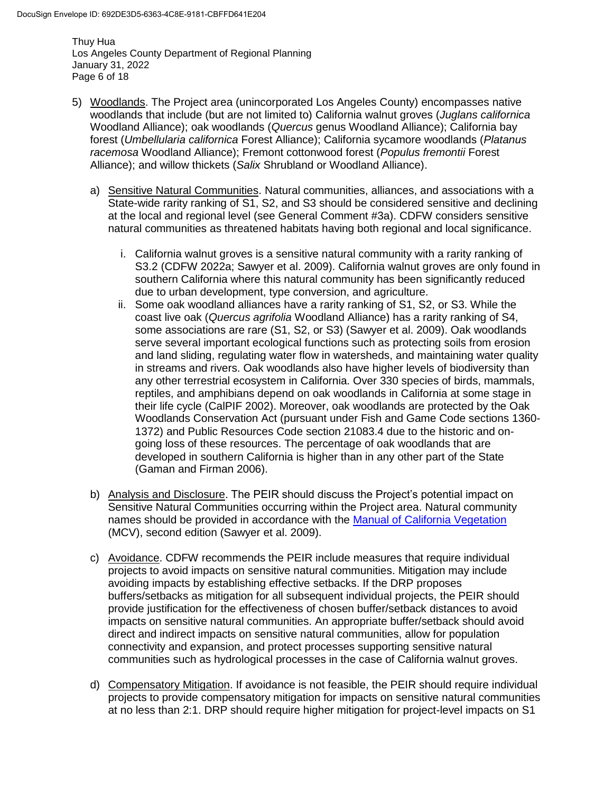Thuy Hua Los Angeles County Department of Regional Planning January 31, 2022 Page 6 of 18

- 5) Woodlands. The Project area (unincorporated Los Angeles County) encompasses native woodlands that include (but are not limited to) California walnut groves (*Juglans californica* Woodland Alliance); oak woodlands (*Quercus* genus Woodland Alliance); California bay forest (*Umbellularia californica* Forest Alliance); California sycamore woodlands (*Platanus racemosa* Woodland Alliance); Fremont cottonwood forest (*Populus fremontii* Forest Alliance); and willow thickets (*Salix* Shrubland or Woodland Alliance).
	- a) Sensitive Natural Communities. Natural communities, alliances, and associations with a State-wide rarity ranking of S1, S2, and S3 should be considered sensitive and declining at the local and regional level (see General Comment #3a). CDFW considers sensitive natural communities as threatened habitats having both regional and local significance.
		- i. California walnut groves is a sensitive natural community with a rarity ranking of S3.2 (CDFW 2022a; Sawyer et al. 2009). California walnut groves are only found in southern California where this natural community has been significantly reduced due to urban development, type conversion, and agriculture.
		- ii. Some oak woodland alliances have a rarity ranking of S1, S2, or S3. While the coast live oak (*Quercus agrifolia* Woodland Alliance) has a rarity ranking of S4, some associations are rare (S1, S2, or S3) (Sawyer et al. 2009). Oak woodlands serve several important ecological functions such as protecting soils from erosion and land sliding, regulating water flow in watersheds, and maintaining water quality in streams and rivers. Oak woodlands also have higher levels of biodiversity than any other terrestrial ecosystem in California. Over 330 species of birds, mammals, reptiles, and amphibians depend on oak woodlands in California at some stage in their life cycle (CalPIF 2002). Moreover, oak woodlands are protected by the Oak Woodlands Conservation Act (pursuant under Fish and Game Code sections 1360- 1372) and Public Resources Code section 21083.4 due to the historic and ongoing loss of these resources. The percentage of oak woodlands that are developed in southern California is higher than in any other part of the State (Gaman and Firman 2006).
	- b) Analysis and Disclosure. The PEIR should discuss the Project's potential impact on Sensitive Natural Communities occurring within the Project area. Natural community names should be provided in accordance with the [Manual of California Vegetation](http://vegetation.cnps.org/) (MCV), second edition (Sawyer et al. 2009).
	- c) Avoidance. CDFW recommends the PEIR include measures that require individual projects to avoid impacts on sensitive natural communities. Mitigation may include avoiding impacts by establishing effective setbacks. If the DRP proposes buffers/setbacks as mitigation for all subsequent individual projects, the PEIR should provide justification for the effectiveness of chosen buffer/setback distances to avoid impacts on sensitive natural communities. An appropriate buffer/setback should avoid direct and indirect impacts on sensitive natural communities, allow for population connectivity and expansion, and protect processes supporting sensitive natural communities such as hydrological processes in the case of California walnut groves.
	- d) Compensatory Mitigation. If avoidance is not feasible, the PEIR should require individual projects to provide compensatory mitigation for impacts on sensitive natural communities at no less than 2:1. DRP should require higher mitigation for project-level impacts on S1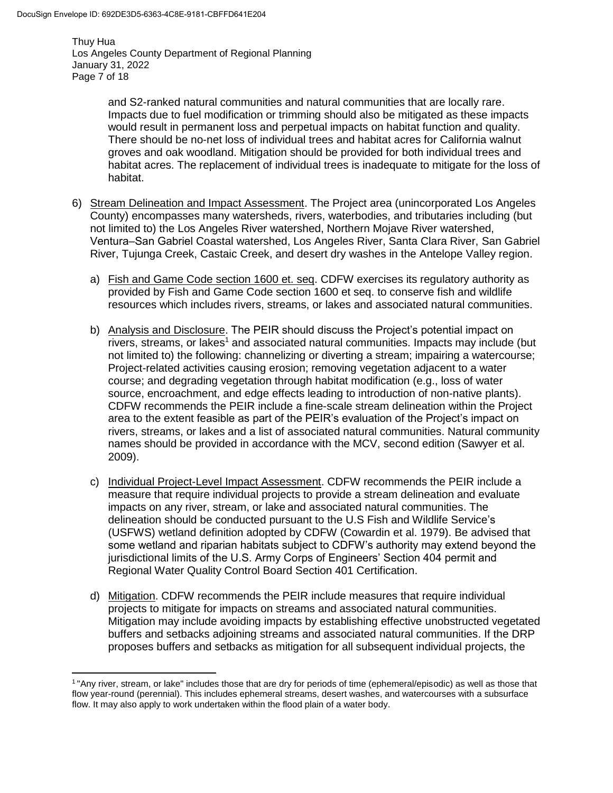$\overline{a}$ 

Thuy Hua Los Angeles County Department of Regional Planning January 31, 2022 Page 7 of 18

> and S2-ranked natural communities and natural communities that are locally rare. Impacts due to fuel modification or trimming should also be mitigated as these impacts would result in permanent loss and perpetual impacts on habitat function and quality. There should be no-net loss of individual trees and habitat acres for California walnut groves and oak woodland. Mitigation should be provided for both individual trees and habitat acres. The replacement of individual trees is inadequate to mitigate for the loss of habitat.

- 6) Stream Delineation and Impact Assessment. The Project area (unincorporated Los Angeles County) encompasses many watersheds, rivers, waterbodies, and tributaries including (but not limited to) the Los Angeles River watershed, Northern Mojave River watershed, Ventura‒San Gabriel Coastal watershed, Los Angeles River, Santa Clara River, San Gabriel River, Tujunga Creek, Castaic Creek, and desert dry washes in the Antelope Valley region.
	- a) Fish and Game Code section 1600 et. seq. CDFW exercises its regulatory authority as provided by Fish and Game Code section 1600 et seq. to conserve fish and wildlife resources which includes rivers, streams, or lakes and associated natural communities.
	- b) Analysis and Disclosure. The PEIR should discuss the Project's potential impact on rivers, streams, or lakes<sup>1</sup> and associated natural communities. Impacts may include (but not limited to) the following: channelizing or diverting a stream; impairing a watercourse; Project-related activities causing erosion; removing vegetation adjacent to a water course; and degrading vegetation through habitat modification (e.g., loss of water source, encroachment, and edge effects leading to introduction of non-native plants). CDFW recommends the PEIR include a fine-scale stream delineation within the Project area to the extent feasible as part of the PEIR's evaluation of the Project's impact on rivers, streams, or lakes and a list of associated natural communities. Natural community names should be provided in accordance with the MCV, second edition (Sawyer et al. 2009).
	- c) Individual Project-Level Impact Assessment. CDFW recommends the PEIR include a measure that require individual projects to provide a stream delineation and evaluate impacts on any river, stream, or lake and associated natural communities. The delineation should be conducted pursuant to the U.S Fish and Wildlife Service's (USFWS) wetland definition adopted by CDFW (Cowardin et al. 1979). Be advised that some wetland and riparian habitats subject to CDFW's authority may extend beyond the jurisdictional limits of the U.S. Army Corps of Engineers' Section 404 permit and Regional Water Quality Control Board Section 401 Certification.
	- d) Mitigation. CDFW recommends the PEIR include measures that require individual projects to mitigate for impacts on streams and associated natural communities. Mitigation may include avoiding impacts by establishing effective unobstructed vegetated buffers and setbacks adjoining streams and associated natural communities. If the DRP proposes buffers and setbacks as mitigation for all subsequent individual projects, the

<sup>1</sup> "Any river, stream, or lake" includes those that are dry for periods of time (ephemeral/episodic) as well as those that flow year-round (perennial). This includes ephemeral streams, desert washes, and watercourses with a subsurface flow. It may also apply to work undertaken within the flood plain of a water body.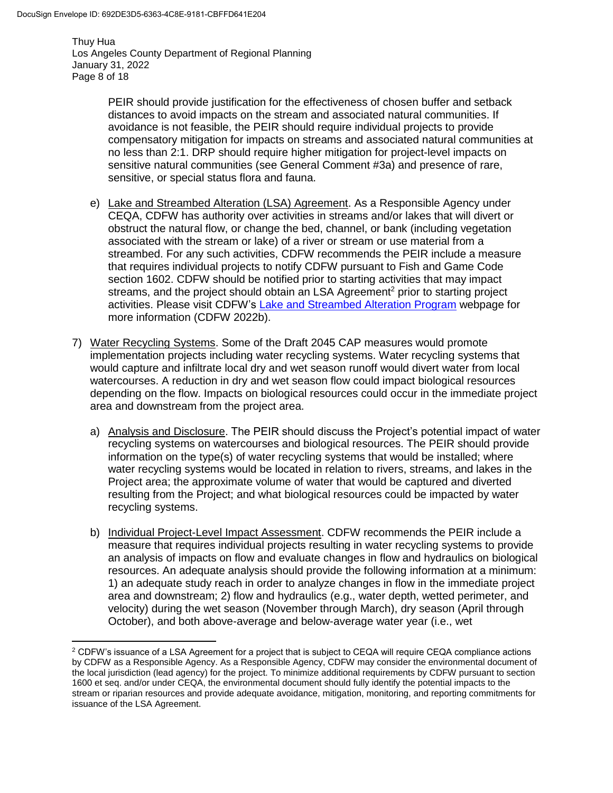$\overline{\phantom{a}}$ 

Thuy Hua Los Angeles County Department of Regional Planning January 31, 2022 Page 8 of 18

> PEIR should provide justification for the effectiveness of chosen buffer and setback distances to avoid impacts on the stream and associated natural communities. If avoidance is not feasible, the PEIR should require individual projects to provide compensatory mitigation for impacts on streams and associated natural communities at no less than 2:1. DRP should require higher mitigation for project-level impacts on sensitive natural communities (see General Comment #3a) and presence of rare, sensitive, or special status flora and fauna.

- e) Lake and Streambed Alteration (LSA) Agreement. As a Responsible Agency under CEQA, CDFW has authority over activities in streams and/or lakes that will divert or obstruct the natural flow, or change the bed, channel, or bank (including vegetation associated with the stream or lake) of a river or stream or use material from a streambed. For any such activities, CDFW recommends the PEIR include a measure that requires individual projects to notify CDFW pursuant to Fish and Game Code section 1602. CDFW should be notified prior to starting activities that may impact streams, and the project should obtain an LSA Agreement<sup>2</sup> prior to starting project activities. Please visit CDFW's [Lake and Streambed Alteration Program](https://wildlife.ca.gov/Conservation/LSA) webpage for more information (CDFW 2022b).
- 7) Water Recycling Systems. Some of the Draft 2045 CAP measures would promote implementation projects including water recycling systems. Water recycling systems that would capture and infiltrate local dry and wet season runoff would divert water from local watercourses. A reduction in dry and wet season flow could impact biological resources depending on the flow. Impacts on biological resources could occur in the immediate project area and downstream from the project area.
	- a) Analysis and Disclosure. The PEIR should discuss the Project's potential impact of water recycling systems on watercourses and biological resources. The PEIR should provide information on the type(s) of water recycling systems that would be installed; where water recycling systems would be located in relation to rivers, streams, and lakes in the Project area; the approximate volume of water that would be captured and diverted resulting from the Project; and what biological resources could be impacted by water recycling systems.
	- b) Individual Project-Level Impact Assessment. CDFW recommends the PEIR include a measure that requires individual projects resulting in water recycling systems to provide an analysis of impacts on flow and evaluate changes in flow and hydraulics on biological resources. An adequate analysis should provide the following information at a minimum: 1) an adequate study reach in order to analyze changes in flow in the immediate project area and downstream; 2) flow and hydraulics (e.g., water depth, wetted perimeter, and velocity) during the wet season (November through March), dry season (April through October), and both above-average and below-average water year (i.e., wet

<sup>&</sup>lt;sup>2</sup> CDFW's issuance of a LSA Agreement for a project that is subject to CEQA will require CEQA compliance actions by CDFW as a Responsible Agency. As a Responsible Agency, CDFW may consider the environmental document of the local jurisdiction (lead agency) for the project. To minimize additional requirements by CDFW pursuant to section 1600 et seq. and/or under CEQA, the environmental document should fully identify the potential impacts to the stream or riparian resources and provide adequate avoidance, mitigation, monitoring, and reporting commitments for issuance of the LSA Agreement.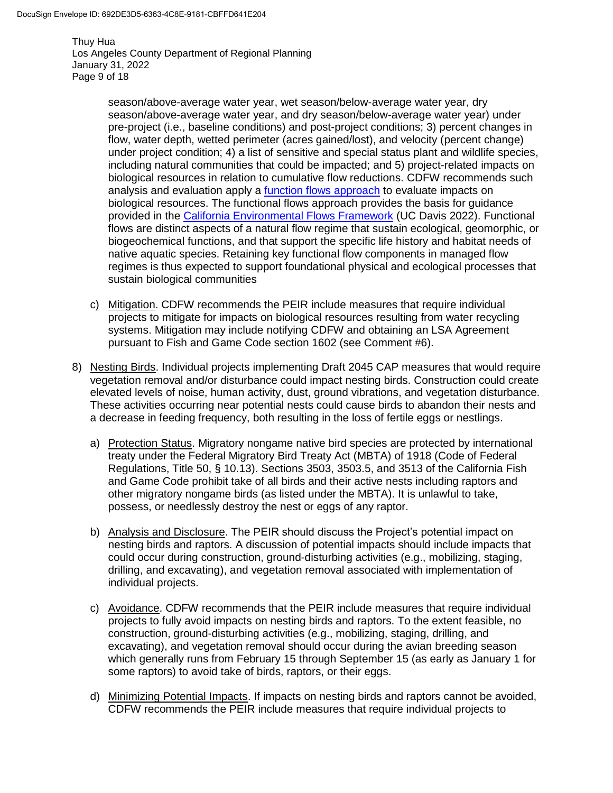Thuy Hua Los Angeles County Department of Regional Planning January 31, 2022 Page 9 of 18

> season/above-average water year, wet season/below-average water year, dry season/above-average water year, and dry season/below-average water year) under pre-project (i.e., baseline conditions) and post-project conditions; 3) percent changes in flow, water depth, wetted perimeter (acres gained/lost), and velocity (percent change) under project condition; 4) a list of sensitive and special status plant and wildlife species, including natural communities that could be impacted; and 5) project-related impacts on biological resources in relation to cumulative flow reductions. CDFW recommends such analysis and evaluation apply a [function flows approach](https://ceff.ucdavis.edu/functional-flows-approach) to evaluate impacts on biological resources. The functional flows approach provides the basis for guidance provided in the [California Environmental Flows Framework](https://ceff.ucdavis.edu/) (UC Davis 2022). Functional flows are distinct aspects of a natural flow regime that sustain ecological, geomorphic, or biogeochemical functions, and that support the specific life history and habitat needs of native aquatic species. Retaining key functional flow components in managed flow regimes is thus expected to support foundational physical and ecological processes that sustain biological communities

- c) Mitigation. CDFW recommends the PEIR include measures that require individual projects to mitigate for impacts on biological resources resulting from water recycling systems. Mitigation may include notifying CDFW and obtaining an LSA Agreement pursuant to Fish and Game Code section 1602 (see Comment #6).
- 8) Nesting Birds. Individual projects implementing Draft 2045 CAP measures that would require vegetation removal and/or disturbance could impact nesting birds. Construction could create elevated levels of noise, human activity, dust, ground vibrations, and vegetation disturbance. These activities occurring near potential nests could cause birds to abandon their nests and a decrease in feeding frequency, both resulting in the loss of fertile eggs or nestlings.
	- a) Protection Status. Migratory nongame native bird species are protected by international treaty under the Federal Migratory Bird Treaty Act (MBTA) of 1918 (Code of Federal Regulations, Title 50, § 10.13). Sections 3503, 3503.5, and 3513 of the California Fish and Game Code prohibit take of all birds and their active nests including raptors and other migratory nongame birds (as listed under the MBTA). It is unlawful to take, possess, or needlessly destroy the nest or eggs of any raptor.
	- b) Analysis and Disclosure. The PEIR should discuss the Project's potential impact on nesting birds and raptors. A discussion of potential impacts should include impacts that could occur during construction, ground-disturbing activities (e.g., mobilizing, staging, drilling, and excavating), and vegetation removal associated with implementation of individual projects.
	- c) Avoidance. CDFW recommends that the PEIR include measures that require individual projects to fully avoid impacts on nesting birds and raptors. To the extent feasible, no construction, ground-disturbing activities (e.g., mobilizing, staging, drilling, and excavating), and vegetation removal should occur during the avian breeding season which generally runs from February 15 through September 15 (as early as January 1 for some raptors) to avoid take of birds, raptors, or their eggs.
	- d) Minimizing Potential Impacts. If impacts on nesting birds and raptors cannot be avoided, CDFW recommends the PEIR include measures that require individual projects to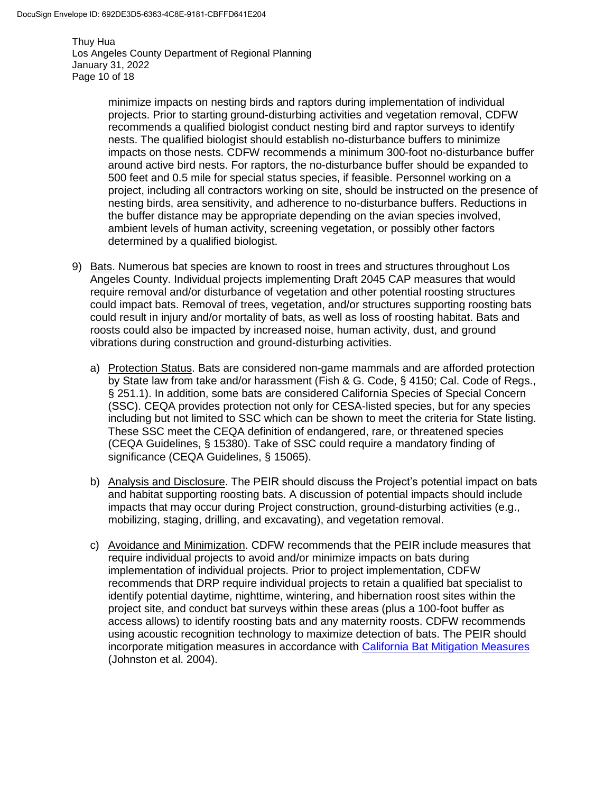Thuy Hua Los Angeles County Department of Regional Planning January 31, 2022 Page 10 of 18

> minimize impacts on nesting birds and raptors during implementation of individual projects. Prior to starting ground-disturbing activities and vegetation removal, CDFW recommends a qualified biologist conduct nesting bird and raptor surveys to identify nests. The qualified biologist should establish no-disturbance buffers to minimize impacts on those nests. CDFW recommends a minimum 300-foot no-disturbance buffer around active bird nests. For raptors, the no-disturbance buffer should be expanded to 500 feet and 0.5 mile for special status species, if feasible. Personnel working on a project, including all contractors working on site, should be instructed on the presence of nesting birds, area sensitivity, and adherence to no-disturbance buffers. Reductions in the buffer distance may be appropriate depending on the avian species involved, ambient levels of human activity, screening vegetation, or possibly other factors determined by a qualified biologist.

- 9) Bats. Numerous bat species are known to roost in trees and structures throughout Los Angeles County. Individual projects implementing Draft 2045 CAP measures that would require removal and/or disturbance of vegetation and other potential roosting structures could impact bats. Removal of trees, vegetation, and/or structures supporting roosting bats could result in injury and/or mortality of bats, as well as loss of roosting habitat. Bats and roosts could also be impacted by increased noise, human activity, dust, and ground vibrations during construction and ground-disturbing activities.
	- a) Protection Status. Bats are considered non-game mammals and are afforded protection by State law from take and/or harassment (Fish & G. Code, § 4150; Cal. Code of Regs., § 251.1). In addition, some bats are considered California Species of Special Concern (SSC). CEQA provides protection not only for CESA-listed species, but for any species including but not limited to SSC which can be shown to meet the criteria for State listing. These SSC meet the CEQA definition of endangered, rare, or threatened species (CEQA Guidelines, § 15380). Take of SSC could require a mandatory finding of significance (CEQA Guidelines, § 15065).
	- b) Analysis and Disclosure. The PEIR should discuss the Project's potential impact on bats and habitat supporting roosting bats. A discussion of potential impacts should include impacts that may occur during Project construction, ground-disturbing activities (e.g., mobilizing, staging, drilling, and excavating), and vegetation removal.
	- c) Avoidance and Minimization. CDFW recommends that the PEIR include measures that require individual projects to avoid and/or minimize impacts on bats during implementation of individual projects. Prior to project implementation, CDFW recommends that DRP require individual projects to retain a qualified bat specialist to identify potential daytime, nighttime, wintering, and hibernation roost sites within the project site, and conduct bat surveys within these areas (plus a 100-foot buffer as access allows) to identify roosting bats and any maternity roosts. CDFW recommends using acoustic recognition technology to maximize detection of bats. The PEIR should incorporate mitigation measures in accordance with [California Bat Mitigation Measures](https://nrm.dfg.ca.gov/FileHandler.ashx?DocumentID=10334) (Johnston et al. 2004).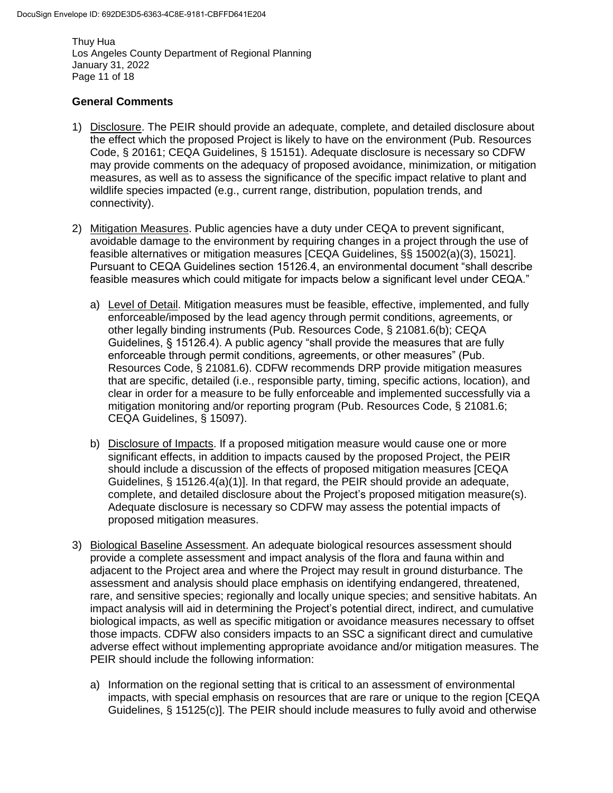Thuy Hua Los Angeles County Department of Regional Planning January 31, 2022 Page 11 of 18

### **General Comments**

- 1) Disclosure. The PEIR should provide an adequate, complete, and detailed disclosure about the effect which the proposed Project is likely to have on the environment (Pub. Resources Code, § 20161; CEQA Guidelines, § 15151). Adequate disclosure is necessary so CDFW may provide comments on the adequacy of proposed avoidance, minimization, or mitigation measures, as well as to assess the significance of the specific impact relative to plant and wildlife species impacted (e.g., current range, distribution, population trends, and connectivity).
- 2) Mitigation Measures. Public agencies have a duty under CEQA to prevent significant, avoidable damage to the environment by requiring changes in a project through the use of feasible alternatives or mitigation measures [CEQA Guidelines, §§ 15002(a)(3), 15021]. Pursuant to CEQA Guidelines section 15126.4, an environmental document "shall describe feasible measures which could mitigate for impacts below a significant level under CEQA."
	- a) Level of Detail. Mitigation measures must be feasible, effective, implemented, and fully enforceable/imposed by the lead agency through permit conditions, agreements, or other legally binding instruments (Pub. Resources Code, § 21081.6(b); CEQA Guidelines, § 15126.4). A public agency "shall provide the measures that are fully enforceable through permit conditions, agreements, or other measures" (Pub. Resources Code, § 21081.6). CDFW recommends DRP provide mitigation measures that are specific, detailed (i.e., responsible party, timing, specific actions, location), and clear in order for a measure to be fully enforceable and implemented successfully via a mitigation monitoring and/or reporting program (Pub. Resources Code, § 21081.6; CEQA Guidelines, § 15097).
	- b) Disclosure of Impacts. If a proposed mitigation measure would cause one or more significant effects, in addition to impacts caused by the proposed Project, the PEIR should include a discussion of the effects of proposed mitigation measures [CEQA Guidelines, § 15126.4(a)(1)]. In that regard, the PEIR should provide an adequate, complete, and detailed disclosure about the Project's proposed mitigation measure(s). Adequate disclosure is necessary so CDFW may assess the potential impacts of proposed mitigation measures.
- 3) Biological Baseline Assessment. An adequate biological resources assessment should provide a complete assessment and impact analysis of the flora and fauna within and adjacent to the Project area and where the Project may result in ground disturbance. The assessment and analysis should place emphasis on identifying endangered, threatened, rare, and sensitive species; regionally and locally unique species; and sensitive habitats. An impact analysis will aid in determining the Project's potential direct, indirect, and cumulative biological impacts, as well as specific mitigation or avoidance measures necessary to offset those impacts. CDFW also considers impacts to an SSC a significant direct and cumulative adverse effect without implementing appropriate avoidance and/or mitigation measures. The PEIR should include the following information:
	- a) Information on the regional setting that is critical to an assessment of environmental impacts, with special emphasis on resources that are rare or unique to the region [CEQA Guidelines, § 15125(c)]. The PEIR should include measures to fully avoid and otherwise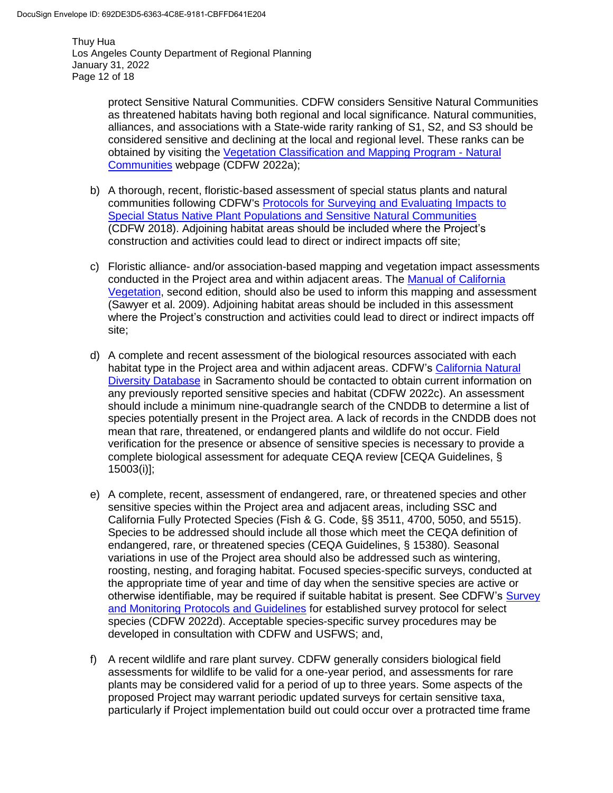Thuy Hua Los Angeles County Department of Regional Planning January 31, 2022 Page 12 of 18

> protect Sensitive Natural Communities. CDFW considers Sensitive Natural Communities as threatened habitats having both regional and local significance. Natural communities, alliances, and associations with a State-wide rarity ranking of S1, S2, and S3 should be considered sensitive and declining at the local and regional level. These ranks can be obtained by visiting the [Vegetation Classification and Mapping Program -](https://wildlife.ca.gov/Data/VegCAMP/Natural-Communities) Natural [Communities](https://wildlife.ca.gov/Data/VegCAMP/Natural-Communities) webpage (CDFW 2022a);

- b) A thorough, recent, floristic-based assessment of special status plants and natural communities following CDFW's [Protocols for Surveying and Evaluating Impacts to](https://nrm.dfg.ca.gov/FileHandler.ashx?DocumentID=18959&inline)  [Special Status Native Plant Populations and Sensitive Natural Communities](https://nrm.dfg.ca.gov/FileHandler.ashx?DocumentID=18959&inline) (CDFW 2018). Adjoining habitat areas should be included where the Project's construction and activities could lead to direct or indirect impacts off site;
- c) Floristic alliance- and/or association-based mapping and vegetation impact assessments conducted in the Project area and within adjacent areas. The [Manual of California](http://vegetation.cnps.org/)  [Vegetation,](http://vegetation.cnps.org/) second edition, should also be used to inform this mapping and assessment (Sawyer et al. 2009). Adjoining habitat areas should be included in this assessment where the Project's construction and activities could lead to direct or indirect impacts off site;
- d) A complete and recent assessment of the biological resources associated with each habitat type in the Project area and within adjacent areas. CDFW's [California Natural](https://wildlife.ca.gov/Data/CNDDB)  [Diversity Database](https://wildlife.ca.gov/Data/CNDDB) in Sacramento should be contacted to obtain current information on any previously reported sensitive species and habitat (CDFW 2022c). An assessment should include a minimum nine-quadrangle search of the CNDDB to determine a list of species potentially present in the Project area. A lack of records in the CNDDB does not mean that rare, threatened, or endangered plants and wildlife do not occur. Field verification for the presence or absence of sensitive species is necessary to provide a complete biological assessment for adequate CEQA review [CEQA Guidelines, § 15003(i)];
- e) A complete, recent, assessment of endangered, rare, or threatened species and other sensitive species within the Project area and adjacent areas, including SSC and California Fully Protected Species (Fish & G. Code, §§ 3511, 4700, 5050, and 5515). Species to be addressed should include all those which meet the CEQA definition of endangered, rare, or threatened species (CEQA Guidelines, § 15380). Seasonal variations in use of the Project area should also be addressed such as wintering, roosting, nesting, and foraging habitat. Focused species-specific surveys, conducted at the appropriate time of year and time of day when the sensitive species are active or otherwise identifiable, may be required if suitable habitat is present. See CDFW's Survey [and Monitoring Protocols and Guidelines](https://wildlife.ca.gov/conservation/survey-protocols) for established survey protocol for select species (CDFW 2022d). Acceptable species-specific survey procedures may be developed in consultation with CDFW and USFWS; and,
- f) A recent wildlife and rare plant survey. CDFW generally considers biological field assessments for wildlife to be valid for a one-year period, and assessments for rare plants may be considered valid for a period of up to three years. Some aspects of the proposed Project may warrant periodic updated surveys for certain sensitive taxa, particularly if Project implementation build out could occur over a protracted time frame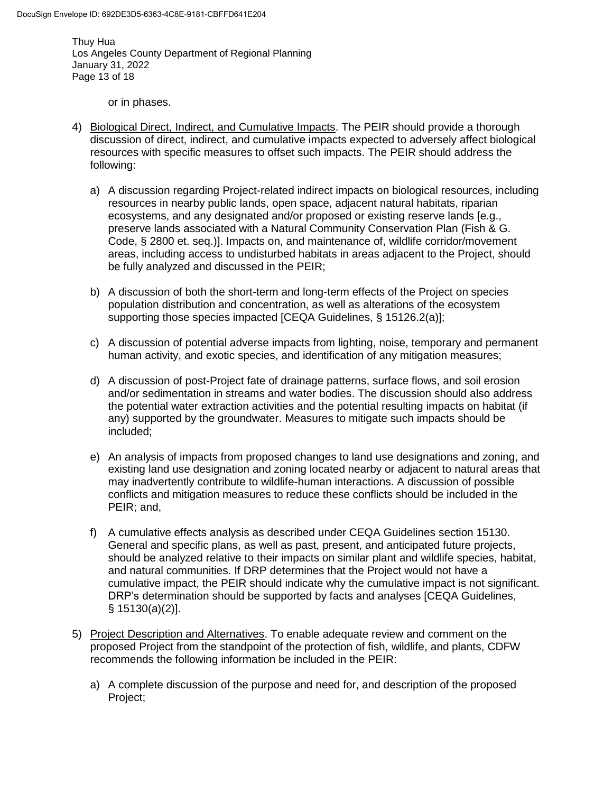Thuy Hua Los Angeles County Department of Regional Planning January 31, 2022 Page 13 of 18

or in phases.

- 4) Biological Direct, Indirect, and Cumulative Impacts. The PEIR should provide a thorough discussion of direct, indirect, and cumulative impacts expected to adversely affect biological resources with specific measures to offset such impacts. The PEIR should address the following:
	- a) A discussion regarding Project-related indirect impacts on biological resources, including resources in nearby public lands, open space, adjacent natural habitats, riparian ecosystems, and any designated and/or proposed or existing reserve lands [e.g., preserve lands associated with a Natural Community Conservation Plan (Fish & G. Code, § 2800 et. seq.)]. Impacts on, and maintenance of, wildlife corridor/movement areas, including access to undisturbed habitats in areas adjacent to the Project, should be fully analyzed and discussed in the PEIR;
	- b) A discussion of both the short-term and long-term effects of the Project on species population distribution and concentration, as well as alterations of the ecosystem supporting those species impacted [CEQA Guidelines, § 15126.2(a)];
	- c) A discussion of potential adverse impacts from lighting, noise, temporary and permanent human activity, and exotic species, and identification of any mitigation measures;
	- d) A discussion of post-Project fate of drainage patterns, surface flows, and soil erosion and/or sedimentation in streams and water bodies. The discussion should also address the potential water extraction activities and the potential resulting impacts on habitat (if any) supported by the groundwater. Measures to mitigate such impacts should be included;
	- e) An analysis of impacts from proposed changes to land use designations and zoning, and existing land use designation and zoning located nearby or adjacent to natural areas that may inadvertently contribute to wildlife-human interactions. A discussion of possible conflicts and mitigation measures to reduce these conflicts should be included in the PEIR; and,
	- f) A cumulative effects analysis as described under CEQA Guidelines section 15130. General and specific plans, as well as past, present, and anticipated future projects, should be analyzed relative to their impacts on similar plant and wildlife species, habitat, and natural communities. If DRP determines that the Project would not have a cumulative impact, the PEIR should indicate why the cumulative impact is not significant. DRP's determination should be supported by facts and analyses [CEQA Guidelines, § 15130(a)(2)].
- 5) Project Description and Alternatives. To enable adequate review and comment on the proposed Project from the standpoint of the protection of fish, wildlife, and plants, CDFW recommends the following information be included in the PEIR:
	- a) A complete discussion of the purpose and need for, and description of the proposed Project;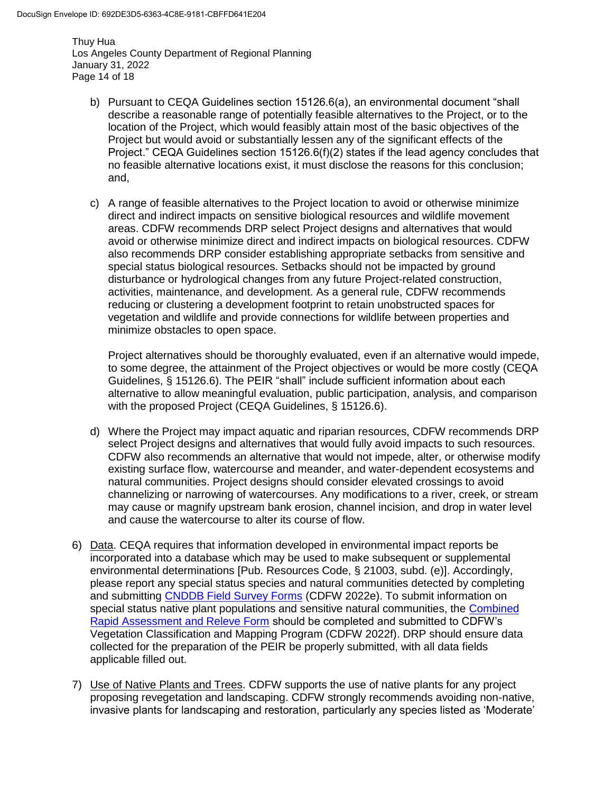Thuy Hua Los Angeles County Department of Regional Planning January 31, 2022 Page 14 of 18

- b) Pursuant to CEQA Guidelines section 15126.6(a), an environmental document "shall describe a reasonable range of potentially feasible alternatives to the Project, or to the location of the Project, which would feasibly attain most of the basic objectives of the Project but would avoid or substantially lessen any of the significant effects of the Project." CEQA Guidelines section 15126.6(f)(2) states if the lead agency concludes that no feasible alternative locations exist, it must disclose the reasons for this conclusion; and,
- c) A range of feasible alternatives to the Project location to avoid or otherwise minimize direct and indirect impacts on sensitive biological resources and wildlife movement areas. CDFW recommends DRP select Project designs and alternatives that would avoid or otherwise minimize direct and indirect impacts on biological resources. CDFW also recommends DRP consider establishing appropriate setbacks from sensitive and special status biological resources. Setbacks should not be impacted by ground disturbance or hydrological changes from any future Project-related construction, activities, maintenance, and development. As a general rule, CDFW recommends reducing or clustering a development footprint to retain unobstructed spaces for vegetation and wildlife and provide connections for wildlife between properties and minimize obstacles to open space.

Project alternatives should be thoroughly evaluated, even if an alternative would impede, to some degree, the attainment of the Project objectives or would be more costly (CEQA Guidelines, § 15126.6). The PEIR "shall" include sufficient information about each alternative to allow meaningful evaluation, public participation, analysis, and comparison with the proposed Project (CEQA Guidelines, § 15126.6).

- d) Where the Project may impact aquatic and riparian resources, CDFW recommends DRP select Project designs and alternatives that would fully avoid impacts to such resources. CDFW also recommends an alternative that would not impede, alter, or otherwise modify existing surface flow, watercourse and meander, and water-dependent ecosystems and natural communities. Project designs should consider elevated crossings to avoid channelizing or narrowing of watercourses. Any modifications to a river, creek, or stream may cause or magnify upstream bank erosion, channel incision, and drop in water level and cause the watercourse to alter its course of flow.
- 6) Data. CEQA requires that information developed in environmental impact reports be incorporated into a database which may be used to make subsequent or supplemental environmental determinations [Pub. Resources Code, § 21003, subd. (e)]. Accordingly, please report any special status species and natural communities detected by completing and submitting [CNDDB Field Survey Forms](https://wildlife.ca.gov/Data/CNDDB/Submitting-Data) (CDFW 2022e). To submit information on special status native plant populations and sensitive natural communities, the [Combined](https://wildlife.ca.gov/Data/VegCAMP/Natural-Communities/Submit)  [Rapid Assessment and Releve Form](https://wildlife.ca.gov/Data/VegCAMP/Natural-Communities/Submit) should be completed and submitted to CDFW's Vegetation Classification and Mapping Program (CDFW 2022f). DRP should ensure data collected for the preparation of the PEIR be properly submitted, with all data fields applicable filled out.
- 7) Use of Native Plants and Trees. CDFW supports the use of native plants for any project proposing revegetation and landscaping. CDFW strongly recommends avoiding non-native, invasive plants for landscaping and restoration, particularly any species listed as 'Moderate'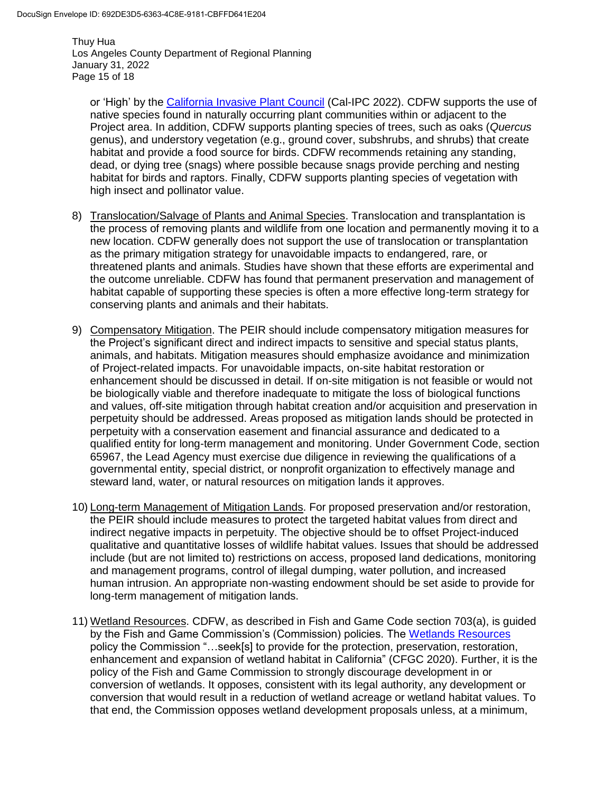Thuy Hua Los Angeles County Department of Regional Planning January 31, 2022 Page 15 of 18

or 'High' by the [California Invasive Plant Council](https://www.cal-ipc.org/plants/inventory/) (Cal-IPC 2022). CDFW supports the use of native species found in naturally occurring plant communities within or adjacent to the Project area. In addition, CDFW supports planting species of trees, such as oaks (*Quercus*  genus), and understory vegetation (e.g., ground cover, subshrubs, and shrubs) that create habitat and provide a food source for birds. CDFW recommends retaining any standing, dead, or dying tree (snags) where possible because snags provide perching and nesting habitat for birds and raptors. Finally, CDFW supports planting species of vegetation with high insect and pollinator value.

- 8) Translocation/Salvage of Plants and Animal Species. Translocation and transplantation is the process of removing plants and wildlife from one location and permanently moving it to a new location. CDFW generally does not support the use of translocation or transplantation as the primary mitigation strategy for unavoidable impacts to endangered, rare, or threatened plants and animals. Studies have shown that these efforts are experimental and the outcome unreliable. CDFW has found that permanent preservation and management of habitat capable of supporting these species is often a more effective long-term strategy for conserving plants and animals and their habitats.
- 9) Compensatory Mitigation. The PEIR should include compensatory mitigation measures for the Project's significant direct and indirect impacts to sensitive and special status plants, animals, and habitats. Mitigation measures should emphasize avoidance and minimization of Project-related impacts. For unavoidable impacts, on-site habitat restoration or enhancement should be discussed in detail. If on-site mitigation is not feasible or would not be biologically viable and therefore inadequate to mitigate the loss of biological functions and values, off-site mitigation through habitat creation and/or acquisition and preservation in perpetuity should be addressed. Areas proposed as mitigation lands should be protected in perpetuity with a conservation easement and financial assurance and dedicated to a qualified entity for long-term management and monitoring. Under Government Code, section 65967, the Lead Agency must exercise due diligence in reviewing the qualifications of a governmental entity, special district, or nonprofit organization to effectively manage and steward land, water, or natural resources on mitigation lands it approves.
- 10) Long-term Management of Mitigation Lands. For proposed preservation and/or restoration, the PEIR should include measures to protect the targeted habitat values from direct and indirect negative impacts in perpetuity. The objective should be to offset Project-induced qualitative and quantitative losses of wildlife habitat values. Issues that should be addressed include (but are not limited to) restrictions on access, proposed land dedications, monitoring and management programs, control of illegal dumping, water pollution, and increased human intrusion. An appropriate non-wasting endowment should be set aside to provide for long-term management of mitigation lands.
- 11) Wetland Resources. CDFW, as described in Fish and Game Code section 703(a), is guided by the Fish and Game Commission's (Commission) policies. The [Wetlands Resources](https://fgc.ca.gov/About/Policies/Miscellaneous) policy the Commission "…seek[s] to provide for the protection, preservation, restoration, enhancement and expansion of wetland habitat in California" (CFGC 2020). Further, it is the policy of the Fish and Game Commission to strongly discourage development in or conversion of wetlands. It opposes, consistent with its legal authority, any development or conversion that would result in a reduction of wetland acreage or wetland habitat values. To that end, the Commission opposes wetland development proposals unless, at a minimum,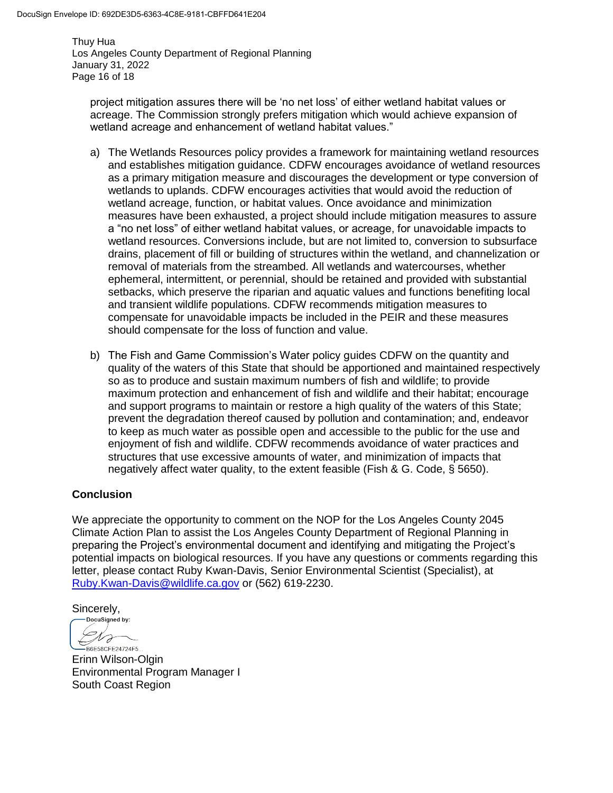Thuy Hua Los Angeles County Department of Regional Planning January 31, 2022 Page 16 of 18

project mitigation assures there will be 'no net loss' of either wetland habitat values or acreage. The Commission strongly prefers mitigation which would achieve expansion of wetland acreage and enhancement of wetland habitat values."

- a) The Wetlands Resources policy provides a framework for maintaining wetland resources and establishes mitigation guidance. CDFW encourages avoidance of wetland resources as a primary mitigation measure and discourages the development or type conversion of wetlands to uplands. CDFW encourages activities that would avoid the reduction of wetland acreage, function, or habitat values. Once avoidance and minimization measures have been exhausted, a project should include mitigation measures to assure a "no net loss" of either wetland habitat values, or acreage, for unavoidable impacts to wetland resources. Conversions include, but are not limited to, conversion to subsurface drains, placement of fill or building of structures within the wetland, and channelization or removal of materials from the streambed. All wetlands and watercourses, whether ephemeral, intermittent, or perennial, should be retained and provided with substantial setbacks, which preserve the riparian and aquatic values and functions benefiting local and transient wildlife populations. CDFW recommends mitigation measures to compensate for unavoidable impacts be included in the PEIR and these measures should compensate for the loss of function and value.
- b) The Fish and Game Commission's Water policy guides CDFW on the quantity and quality of the waters of this State that should be apportioned and maintained respectively so as to produce and sustain maximum numbers of fish and wildlife; to provide maximum protection and enhancement of fish and wildlife and their habitat; encourage and support programs to maintain or restore a high quality of the waters of this State; prevent the degradation thereof caused by pollution and contamination; and, endeavor to keep as much water as possible open and accessible to the public for the use and enjoyment of fish and wildlife. CDFW recommends avoidance of water practices and structures that use excessive amounts of water, and minimization of impacts that negatively affect water quality, to the extent feasible (Fish & G. Code, § 5650).

# **Conclusion**

We appreciate the opportunity to comment on the NOP for the Los Angeles County 2045 Climate Action Plan to assist the Los Angeles County Department of Regional Planning in preparing the Project's environmental document and identifying and mitigating the Project's potential impacts on biological resources. If you have any questions or comments regarding this letter, please contact Ruby Kwan-Davis, Senior Environmental Scientist (Specialist), at [Ruby.Kwan-Davis@wildlife.ca.gov](mailto:Ruby.Kwan-Davis@wildlife.ca.gov) or (562) 619-2230.

 $Sincerely,$ <br>  $Cocusained by:$ 

Dro -<br>B6E58CFE24724F5...

Erinn Wilson-Olgin Environmental Program Manager I South Coast Region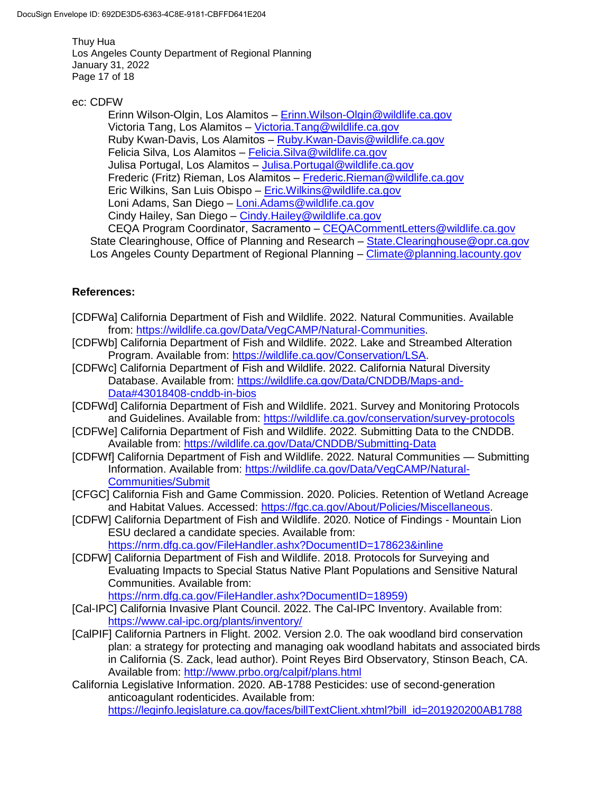Thuy Hua Los Angeles County Department of Regional Planning January 31, 2022 Page 17 of 18

#### ec: CDFW

Erinn Wilson-Olgin, Los Alamitos - Erinn. Wilson-Olgin@wildlife.ca.gov Victoria Tang, Los Alamitos – [Victoria.Tang@wildlife.ca.gov](mailto:Victoria.Tang@wildlife.ca.gov) Ruby Kwan-Davis, Los Alamitos – [Ruby.Kwan-Davis@wildlife.ca.gov](mailto:Ruby.Kwan-Davis@wildlife.ca.gov) Felicia Silva, Los Alamitos - [Felicia.Silva@wildlife.ca.gov](mailto:Felicia.Silva@wildlife.ca.gov) Julisa Portugal, Los Alamitos - Julisa. Portugal@wildlife.ca.gov Frederic (Fritz) Rieman, Los Alamitos – [Frederic.Rieman@wildlife.ca.gov](mailto:Frederic.Rieman@wildlife.ca.gov) Eric Wilkins, San Luis Obispo – [Eric.Wilkins@wildlife.ca.gov](mailto:Eric.Wilkins@wildlife.ca.gov) Loni Adams, San Diego – [Loni.Adams@wildlife.ca.gov](mailto:Loni.Adams@wildlife.ca.gov) Cindy Hailey, San Diego – [Cindy.Hailey@wildlife.ca.gov](mailto:Cindy.Hailey@wildlife.ca.gov) CEQA Program Coordinator, Sacramento – [CEQACommentLetters@wildlife.ca.gov](mailto:CEQACommentLetters@wildlife.ca.gov)  State Clearinghouse, Office of Planning and Research – State. Clearinghouse @opr.ca.gov Los Angeles County Department of Regional Planning – [Climate@planning.lacounty.gov](mailto:Climate@planning.lacounty.gov)

# **References:**

- [CDFWa] California Department of Fish and Wildlife. 2022. Natural Communities. Available from: [https://wildlife.ca.gov/Data/VegCAMP/Natural-Communities.](https://wildlife.ca.gov/Data/VegCAMP/Natural-Communities)
- [CDFWb] California Department of Fish and Wildlife. 2022. Lake and Streambed Alteration Program. Available from: [https://wildlife.ca.gov/Conservation/LSA.](https://wildlife.ca.gov/Conservation/LSA)
- [CDFWc] California Department of Fish and Wildlife. 2022. California Natural Diversity Database. Available from: [https://wildlife.ca.gov/Data/CNDDB/Maps-and-](https://wildlife.ca.gov/Data/CNDDB/Maps-and-Data#43018408-cnddb-in-bios)[Data#43018408-cnddb-in-bios](https://wildlife.ca.gov/Data/CNDDB/Maps-and-Data#43018408-cnddb-in-bios)
- [CDFWd] California Department of Fish and Wildlife. 2021. Survey and Monitoring Protocols and Guidelines. Available from: https://wildlife.ca.gov/conservation/survey-protocols
- [CDFWe] California Department of Fish and Wildlife. 2022. Submitting Data to the CNDDB. Available from:<https://wildlife.ca.gov/Data/CNDDB/Submitting-Data>
- [CDFWf] California Department of Fish and Wildlife. 2022. Natural Communities Submitting Information. Available from: [https://wildlife.ca.gov/Data/VegCAMP/Natural-](https://wildlife.ca.gov/Data/VegCAMP/Natural-Communities/Submit)[Communities/Submit](https://wildlife.ca.gov/Data/VegCAMP/Natural-Communities/Submit)
- [CFGC] California Fish and Game Commission. 2020. Policies. Retention of Wetland Acreage and Habitat Values. Accessed: [https://fgc.ca.gov/About/Policies/Miscellaneous.](https://fgc.ca.gov/About/Policies/Miscellaneous)
- [CDFW] California Department of Fish and Wildlife. 2020. Notice of Findings Mountain Lion ESU declared a candidate species. Available from: <https://nrm.dfg.ca.gov/FileHandler.ashx?DocumentID=178623&inline>
- [CDFW] California Department of Fish and Wildlife. 2018. Protocols for Surveying and Evaluating Impacts to Special Status Native Plant Populations and Sensitive Natural Communities. Available from:

[https://nrm.dfg.ca.gov/FileHandler.ashx?DocumentID=18959\)](https://nrm.dfg.ca.gov/FileHandler.ashx?DocumentID=18959)

- [Cal-IPC] California Invasive Plant Council. 2022. The Cal-IPC Inventory. Available from: <https://www.cal-ipc.org/plants/inventory/>
- [CalPIF] California Partners in Flight. 2002. Version 2.0. The oak woodland bird conservation plan: a strategy for protecting and managing oak woodland habitats and associated birds in California (S. Zack, lead author). Point Reyes Bird Observatory, Stinson Beach, CA. Available from: <http://www.prbo.org/calpif/plans.html>
- California Legislative Information. 2020. AB-1788 Pesticides: use of second-generation anticoagulant rodenticides. Available from: [https://leginfo.legislature.ca.gov/faces/billTextClient.xhtml?bill\\_id=201920200AB1788](https://leginfo.legislature.ca.gov/faces/billTextClient.xhtml?bill_id=201920200AB1788)